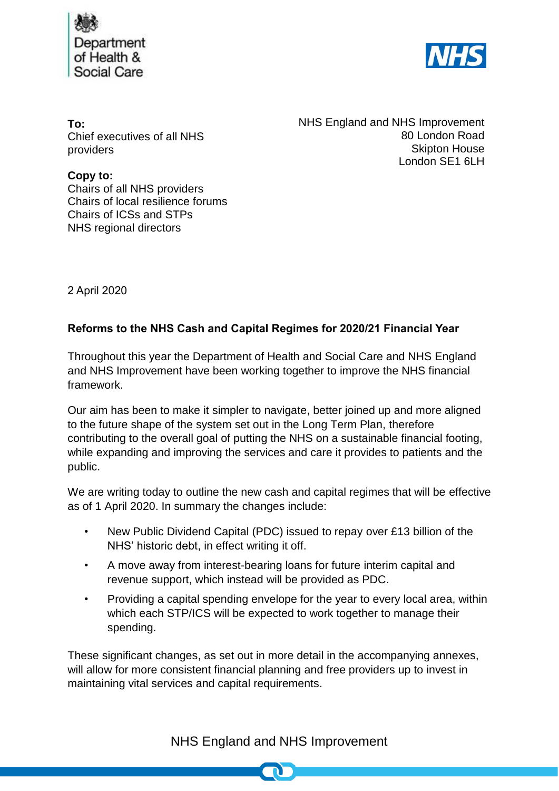



**To:** Chief executives of all NHS providers

NHS England and NHS Improvement 80 London Road Skipton House London SE1 6LH

**Copy to:** Chairs of all NHS providers Chairs of local resilience forums Chairs of ICSs and STPs NHS regional directors

2 April 2020

## **Reforms to the NHS Cash and Capital Regimes for 2020/21 Financial Year**

Throughout this year the Department of Health and Social Care and NHS England and NHS Improvement have been working together to improve the NHS financial framework.

Our aim has been to make it simpler to navigate, better joined up and more aligned to the future shape of the system set out in the Long Term Plan, therefore contributing to the overall goal of putting the NHS on a sustainable financial footing, while expanding and improving the services and care it provides to patients and the public.

We are writing today to outline the new cash and capital regimes that will be effective as of 1 April 2020. In summary the changes include:

- New Public Dividend Capital (PDC) issued to repay over £13 billion of the NHS' historic debt, in effect writing it off.
- A move away from interest-bearing loans for future interim capital and revenue support, which instead will be provided as PDC.
- Providing a capital spending envelope for the year to every local area, within which each STP/ICS will be expected to work together to manage their spending.

These significant changes, as set out in more detail in the accompanying annexes, will allow for more consistent financial planning and free providers up to invest in maintaining vital services and capital requirements.

## NHS England and NHS Improvement